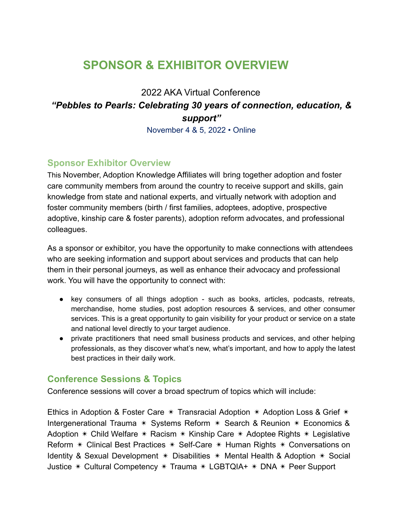## **SPONSOR & EXHIBITOR OVERVIEW**

## 2022 AKA Virtual Conference *"Pebbles to Pearls: Celebrating 30 years of connection, education, & support"*

November 4 & 5, 2022 • Online

#### **Sponsor Exhibitor Overview**

This November, Adoption Knowledge Affiliates will bring together adoption and foster care community members from around the country to receive support and skills, gain knowledge from state and national experts, and virtually network with adoption and foster community members (birth / first families, adoptees, adoptive, prospective adoptive, kinship care & foster parents), adoption reform advocates, and professional colleagues.

As a sponsor or exhibitor, you have the opportunity to make connections with attendees who are seeking information and support about services and products that can help them in their personal journeys, as well as enhance their advocacy and professional work. You will have the opportunity to connect with:

- key consumers of all things adoption such as books, articles, podcasts, retreats, merchandise, home studies, post adoption resources & services, and other consumer services. This is a great opportunity to gain visibility for your product or service on a state and national level directly to your target audience.
- private practitioners that need small business products and services, and other helping professionals, as they discover what's new, what's important, and how to apply the latest best practices in their daily work.

#### **Conference Sessions & Topics**

Conference sessions will cover a broad spectrum of topics which will include:

Ethics in Adoption & Foster Care  $*$  Transracial Adoption  $*$  Adoption Loss & Grief  $*$ Intergenerational Trauma ✴ Systems Reform ✴ Search & Reunion ✴ Economics & Adoption  $*$  Child Welfare  $*$  Racism  $*$  Kinship Care  $*$  Adoptee Rights  $*$  Legislative Reform ✴ Clinical Best Practices ✴ Self-Care ✴ Human Rights ✴ Conversations on Identity & Sexual Development  $*$  Disabilities  $*$  Mental Health & Adoption  $*$  Social Justice ✴ Cultural Competency ✴ Trauma ✴ LGBTQIA+ ✴ DNA ✴ Peer Support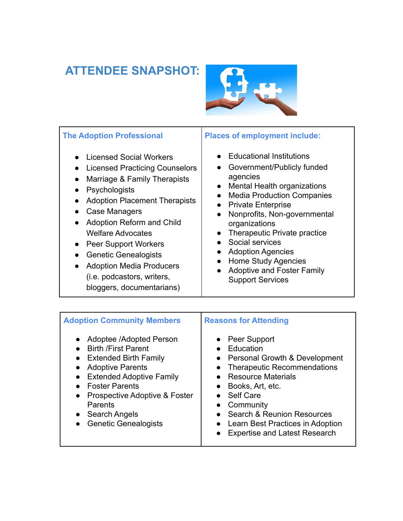## **ATTENDEE SNAPSHOT:**



| <b>The Adoption Professional</b><br><b>Licensed Social Workers</b><br><b>Licensed Practicing Counselors</b><br>Marriage & Family Therapists<br>Psychologists<br>$\bullet$<br><b>Adoption Placement Therapists</b><br>Case Managers<br><b>Adoption Reform and Child</b><br>$\bullet$<br><b>Welfare Advocates</b><br>Peer Support Workers<br><b>Genetic Genealogists</b><br><b>Adoption Media Producers</b><br>(i.e. podcastors, writers,<br>bloggers, documentarians) | <b>Places of employment include:</b><br><b>Educational Institutions</b><br>Government/Publicly funded<br>agencies<br>Mental Health organizations<br><b>Media Production Companies</b><br><b>Private Enterprise</b><br>Nonprofits, Non-governmental<br>organizations<br>Therapeutic Private practice<br>Social services<br><b>Adoption Agencies</b><br>Home Study Agencies<br><b>Adoptive and Foster Family</b><br><b>Support Services</b> |
|----------------------------------------------------------------------------------------------------------------------------------------------------------------------------------------------------------------------------------------------------------------------------------------------------------------------------------------------------------------------------------------------------------------------------------------------------------------------|-------------------------------------------------------------------------------------------------------------------------------------------------------------------------------------------------------------------------------------------------------------------------------------------------------------------------------------------------------------------------------------------------------------------------------------------|
| <b>Adoption Community Members</b>                                                                                                                                                                                                                                                                                                                                                                                                                                    | <b>Reasons for Attending</b>                                                                                                                                                                                                                                                                                                                                                                                                              |
| Adoptee /Adopted Person                                                                                                                                                                                                                                                                                                                                                                                                                                              | Peer Support                                                                                                                                                                                                                                                                                                                                                                                                                              |

- Birth /First Parent
- Extended Birth Family
- Adoptive Parents
- Extended Adoptive Family
- Foster Parents
- Prospective Adoptive & Foster Parents
- Search Angels
- Genetic Genealogists
- Peer Support
- Education
- Personal Growth & Development
- Therapeutic Recommendations
- Resource Materials
- Books, Art, etc.
- Self Care
- Community
- Search & Reunion Resources
- Learn Best Practices in Adoption
- Expertise and Latest Research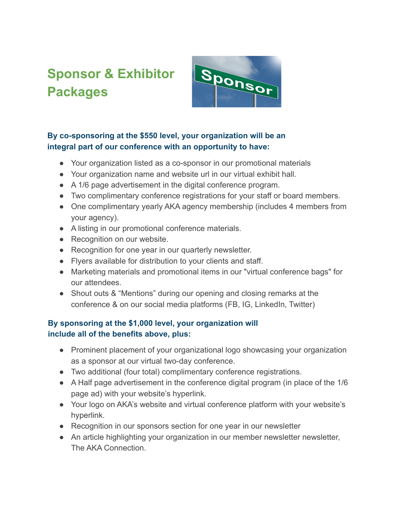# **Sponsor & Exhibitor Packages**



#### **By co-sponsoring at the \$550 level, your organization will be an integral part of our conference with an opportunity to have:**

- Your organization listed as a co-sponsor in our promotional materials
- Your organization name and website url in our virtual exhibit hall.
- A 1/6 page advertisement in the digital conference program.
- Two complimentary conference registrations for your staff or board members.
- One complimentary yearly AKA agency membership (includes 4 members from your agency).
- A listing in our promotional conference materials.
- Recognition on our website.
- Recognition for one year in our quarterly newsletter.
- Flyers available for distribution to your clients and staff.
- Marketing materials and promotional items in our "virtual conference bags" for our attendees.
- Shout outs & "Mentions" during our opening and closing remarks at the conference & on our social media platforms (FB, IG, LinkedIn, Twitter)

#### **By sponsoring at the \$1,000 level, your organization will include all of the benefits above, plus:**

- Prominent placement of your organizational logo showcasing your organization as a sponsor at our virtual two-day conference.
- Two additional (four total) complimentary conference registrations.
- A Half page advertisement in the conference digital program (in place of the 1/6 page ad) with your website's hyperlink.
- Your logo on AKA's website and virtual conference platform with your website's hyperlink.
- Recognition in our sponsors section for one year in our newsletter
- An article highlighting your organization in our member newsletter newsletter, The AKA Connection.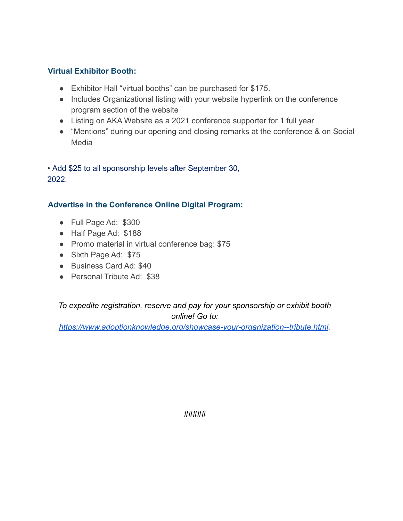#### **Virtual Exhibitor Booth:**

- Exhibitor Hall "virtual booths" can be purchased for \$175.
- Includes Organizational listing with your website hyperlink on the conference program section of the website
- Listing on AKA Website as a 2021 conference supporter for 1 full year
- "Mentions" during our opening and closing remarks at the conference & on Social Media

• Add \$25 to all sponsorship levels after September 30, 2022.

#### **Advertise in the Conference Online Digital Program:**

- Full Page Ad: \$300
- Half Page Ad: \$188
- Promo material in virtual conference bag: \$75
- Sixth Page Ad: \$75
- Business Card Ad: \$40
- Personal Tribute Ad: \$38

#### *To expedite registration, reserve and pay for your sponsorship or exhibit booth online! Go to:*

*[https://www.adoptionknowledge.org/showcase-your-organization--tribute.html.](https://www.adoptionknowledge.org/showcase-your-organization--tribute.html)*

*#####*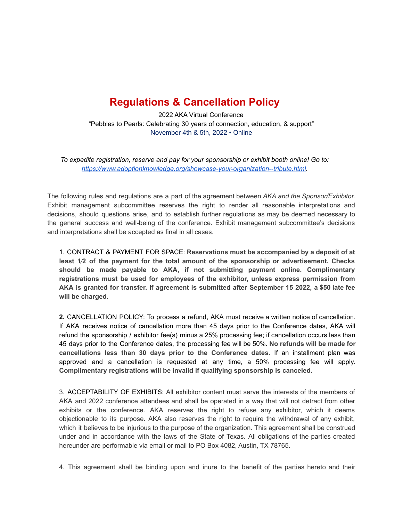### **Regulations & Cancellation Policy**

2022 AKA Virtual Conference "Pebbles to Pearls: Celebrating 30 years of connection, education, & support" November 4th & 5th, 2022 • Online

*To expedite registration, reserve and pay for your sponsorship or exhibit booth online! Go to: [https://www.adoptionknowledge.org/showcase-your-organization--tribute.html.](https://www.adoptionknowledge.org/showcase-your-organization--tribute.html)*

The following rules and regulations are a part of the agreement between *AKA and the Sponsor/Exhibitor.* Exhibit management subcommittee reserves the right to render all reasonable interpretations and decisions, should questions arise, and to establish further regulations as may be deemed necessary to the general success and well-being of the conference. Exhibit management subcommittee's decisions and interpretations shall be accepted as final in all cases.

1. CONTRACT & PAYMENT FOR SPACE: **Reservations must be accompanied by a deposit of at least 1⁄2 of the payment for the total amount of the sponsorship or advertisement. Checks should be made payable to AKA, if not submitting payment online. Complimentary registrations must be used for employees of the exhibitor, unless express permission from AKA is granted for transfer. If agreement is submitted after September 15 2022, a \$50 late fee will be charged.**

**2.** CANCELLATION POLICY: To process a refund, AKA must receive a written notice of cancellation. If AKA receives notice of cancellation more than 45 days prior to the Conference dates, AKA will refund the sponsorship / exhibitor fee(s) minus a 25% processing fee; if cancellation occurs less than 45 days prior to the Conference dates, the processing fee will be 50%. **No refunds will be made for cancellations less than 30 days prior to the Conference dates.** If an installment plan was approved and a cancellation is requested at any time, a 50% processing fee will apply. **Complimentary registrations will be invalid if qualifying sponsorship is canceled.**

3. ACCEPTABILITY OF EXHIBITS: All exhibitor content must serve the interests of the members of AKA and 2022 conference attendees and shall be operated in a way that will not detract from other exhibits or the conference. AKA reserves the right to refuse any exhibitor, which it deems objectionable to its purpose. AKA also reserves the right to require the withdrawal of any exhibit, which it believes to be injurious to the purpose of the organization. This agreement shall be construed under and in accordance with the laws of the State of Texas. All obligations of the parties created hereunder are performable via email or mail to PO Box 4082, Austin, TX 78765.

4. This agreement shall be binding upon and inure to the benefit of the parties hereto and their